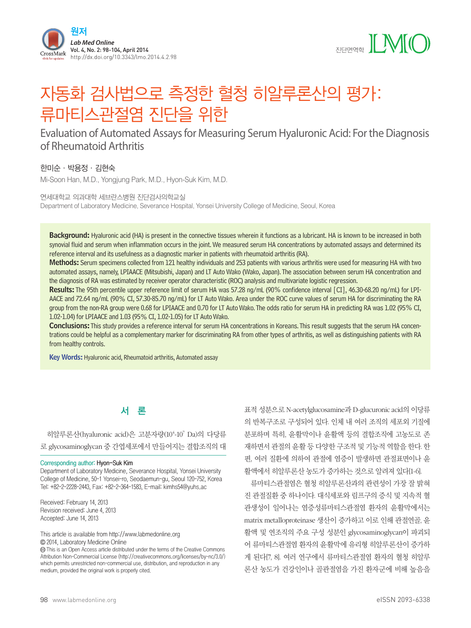



# 자동화 검사법으로 측정한 혈청 히알루론산의 평가: 류마티스관절염 진단을 위한

# Evaluation of Automated Assays for Measuring Serum Hyaluronic Acid: For the Diagnosis of Rheumatoid Arthritis

한미순·박용정·김현숙

Mi-Soon Han, M.D., Yongjung Park, M.D., Hyon-Suk Kim, M.D.

연세대학교 의과대학 세브란스병원 진단검사의학교실 Department of Laboratory Medicine, Severance Hospital, Yonsei University College of Medicine, Seoul, Korea

Background: Hyaluronic acid (HA) is present in the connective tissues wherein it functions as a lubricant. HA is known to be increased in both synovial fluid and serum when inflammation occurs in the joint. We measured serum HA concentrations by automated assays and determined its reference interval and its usefulness as a diagnostic marker in patients with rheumatoid arthritis (RA).

Methods: Serum specimens collected from 121 healthy individuals and 253 patients with various arthritis were used for measuring HA with two automated assays, namely, LPIAACE (Mitsubishi, Japan) and LT Auto Wako (Wako, Japan). The association between serum HA concentration and the diagnosis of RA was estimated by receiver operator characteristic (ROC) analysis and multivariate logistic regression.

Results: The 95th percentile upper reference limit of serum HA was 57.28 ng/mL (90% confidence interval [CI], 46.30-68.20 ng/mL) for LPI-AACE and 72.64 ng/mL (90% CI, 57.30-85.70 ng/mL) for LT Auto Wako. Area under the ROC curve values of serum HA for discriminating the RA group from the non-RA group were 0.68 for LPIAACE and 0.70 for LT Auto Wako. The odds ratio for serum HA in predicting RA was 1.02 (95% CI, 1.02-1.04) for LPIAACE and 1.03 (95% CI, 1.02-1.05) for LT Auto Wako.

Conclusions: This study provides a reference interval for serum HA concentrations in Koreans. This result suggests that the serum HA concentrations could be helpful as a complementary marker for discriminating RA from other types of arthritis, as well as distinguishing patients with RA from healthy controls.

Key Words: Hyaluronic acid, Rheumatoid arthritis, Automated assay

# 서 론

히알루론산(hyaluronic acid)은 고분자량(10<sup>4</sup>-10<sup>7</sup> Da)의 다당류 로 glycosaminoglycan 중 간엽세포에서 만들어지는 결합조직의 대

#### Corresponding author: Hyon-Suk Kim

Department of Laboratory Medicine, Severance Hospital, Yonsei University College of Medicine, 50-1 Yonsei-ro, Seodaemun-gu, Seoul 120-752, Korea Tel: +82-2-2228-2443, Fax: +82-2-364-1583, E-mail: kimhs54@yuhs.ac

Received: February 14, 2013 Revision received: June 4, 2013 Accepted: June 14, 2013

This article is available from http://www.labmedonline.org 2014, Laboratory Medicine Online

 This is an Open Access article distributed under the terms of the Creative Commons Attribution Non-Commercial License (http://creativecommons.org/licenses/by-nc/3.0/) which permits unrestricted non-commercial use, distribution, and reproduction in any medium, provided the original work is properly cited.

표적 성분으로 N-acetylglucosamine과 D-glucuronic acid의 이당류 의 반복구조로 구성되어 있다. 인체 내 여러 조직의 세포외 기질에 분포하며 특히, 윤활막이나 윤활액 등의 결합조직에 고농도로 존 재하면서 관절의 윤활 등 다양한 구조적 및 기능적 역할을 한다. 한 편, 여러 질환에 의하여 관절에 염증이 발생하면 관절표면이나 윤

활액에서 히알루론산 농도가 증가하는 것으로 알려져 있다[1-6]. 류마티스관절염은 혈청 히알루론산과의 관련성이 가장 잘 밝혀 진 관절질환 중 하나이다. 대식세포와 림프구의 증식 및 지속적 혈 관생성이 일어나는 염증성류마티스관절염 환자의 윤활막에서는 matrix metalloproteinase 생산이 증가하고 이로 인해 관절연골, 윤 활액 및 연조직의 주요 구성 성분인 glycosaminoglycan이 파괴되 어 류마티스관절염 환자의 윤활막에 유리형 히알루론산이 증가하 게 된다[7, 8]. 여러 연구에서 류마티스관절염 환자의 혈청 히알루 론산 농도가 건강인이나 골관절염을 가진 환자군에 비해 높음을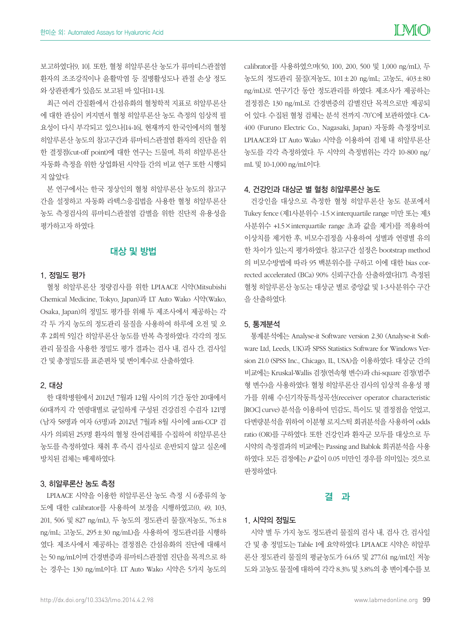보고하였다[9, 10]. 또한, 혈청 히알루론산 농도가 류마티스관절염 환자의 조조강직이나 윤활막염 등 질병활성도나 관절 손상 정도 와 상관관계가 있음도 보고된 바 있다[11-13].

최근 여러 간질환에서 간섬유화의 혈청학적 지표로 히알루론산 에 대한 관심이 커지면서 혈청 히알루론산 농도 측정의 임상적 필 요성이 다시 부각되고 있으나[14-16], 현재까지 한국인에서의 혈청 히알루론산 농도의 참고구간과 류마티스관절염 환자의 진단을 위 한 결정점(cut-off point)에 대한 연구는 드물며, 특히 히알루론산 자동화 측정을 위한 상업화된 시약들 간의 비교 연구 또한 시행되 지 않았다.

본 연구에서는 한국 정상인의 혈청 히알루론산 농도의 참고구 간을 설정하고 자동화 라텍스응집법을 사용한 혈청 히알루론산 농도 측정검사의 류마티스관절염 감별을 위한 진단적 유용성을 평가하고자 하였다.

# 대상 및 방법

#### 1. 정밀도 평가

혈청 히알루론산 정량검사를 위한 LPIAACE 시약(Mitsubishi Chemical Medicine, Tokyo, Japan)과 LT Auto Wako 시약(Wako, Osaka, Japan)의 정밀도 평가를 위해 두 제조사에서 제공하는 각 각 두 가지 농도의 정도관리 물질을 사용하여 하루에 오전 및 오 후 2회씩 5일간 히알루론산 농도를 반복 측정하였다. 각각의 정도 관리 물질을 사용한 정밀도 평가 결과는 검사 내, 검사 간, 검사일 간 및 총정밀도를 표준편차 및 변이계수로 산출하였다.

#### 2. 대상

한 대학병원에서 2012년 7월과 12월 사이의 기간 동안 20대에서 60대까지 각 연령대별로 균일하게 구성된 건강검진 수검자 121명 (남자 58명과 여자 63명)과 2012년 7월과 8월 사이에 anti-CCP 검 사가 의뢰된 253명 환자의 혈청 잔여검체를 수집하여 히알루론산 농도를 측정하였다. 채취 후 즉시 검사실로 운반되지 않고 실온에 방치된 검체는 배제하였다.

#### 3. 히알루론산 농도 측정

LPIAACE 시약을 이용한 히알루론산 농도 측정 시 6종류의 농 도에 대한 calibrator를 사용하여 보정을 시행하였고(0, 49, 103, 201, 506 및 827 ng/mL), 두 농도의 정도관리 물질(저농도, 76±8 ng/mL; 고농도, 295±30 ng/mL)을 사용하여 정도관리를 시행하 였다. 제조사에서 제공하는 결정점은 간섬유화의 진단에 대해서 는 50 ng/mL이며 간경변증과 류마티스관절염 진단을 목적으로 하 는 경우는 130 ng/mL이다. LT Auto Wako 시약은 5가지 농도의

calibrator를 사용하였으며(50, 100, 200, 500 및 1,000 ng/mL), 두 농도의 정도관리 물질(저농도, 101±20 ng/mL; 고농도, 403±80 ng/mL)로 연구기간 동안 정도관리를 하였다. 제조사가 제공하는 결정점은 130 ng/mL로 간경변증의 감별진단 목적으로만 제공되 어 있다. 수집된 혈청 검체는 분석 전까지 -70˚C에 보관하였다. CA-400 (Furuno Electric Co., Nagasaki, Japan) 자동화 측정장비로 LPIAACE와 LT Auto Wako 시약을 이용하여 검체 내 히알루론산 농도를 각각 측정하였다. 두 시약의 측정범위는 각각 10-800 ng/ mL 및 10-1,000 ng/mL이다.

#### 4. 건강인과 대상군 별 혈청 히알루론산 농도

건강인을 대상으로 측정한 혈청 히알루론산 농도 분포에서 Tukey fence (제1사분위수 -1.5×interquartile range 미만 또는 제3 사분위수 +1.5×interquartile range 초과 값을 제거)를 적용하여 이상치를 제거한 후, 비모수검정을 사용하여 성별과 연령별 유의 한 차이가 있는지 평가하였다. 참고구간 설정은 bootstrap method 의 비모수방법에 따라 95 백분위수를 구하고 이에 대한 bias corrected accelerated (BCa) 90% 신뢰구간을 산출하였다[17]. 측정된 혈청 히알루론산 농도는 대상군 별로 중앙값 및 1-3사분위수 구간 을 산출하였다.

#### 5. 통계분석

통계분석에는 Analyse-it Software version 2.30 (Analyse-it Software Ltd, Leeds, UK)과 SPSS Statistics Software for Windows Version 21.0 (SPSS Inc., Chicago, IL, USA)을 이용하였다. 대상군 간의 비교에는 Kruskal-Wallis 검정(연속형 변수)과 chi-square 검정(범주 형 변수)을 사용하였다. 혈청 히알루론산 검사의 임상적 유용성 평 가를 위해 수신기작동특성곡선(receiver operator characteristic [ROC] curve) 분석을 이용하여 민감도, 특이도 및 결정점을 얻었고, 다변량분석을 위하여 이분형 로지스틱 회귀분석을 사용하여 odds ratio (OR)를 구하였다. 또한 건강인과 환자군 모두를 대상으로 두 시약의 측정결과의 비교에는 Passing and Bablok 회귀분석을 사용 하였다. 모든 검정에는 *P* 값이 0.05 미만인 경우를 의미있는 것으로 판정하였다.

#### 결 과

#### 1. 시약의 정밀도

시약 별 두 가지 농도 정도관리 물질의 검사 내, 검사 간, 검사일 간 및 총 정밀도는 Table 1에 요약하였다. LPIAACE 시약은 히알루 론산 정도관리 물질의 평균농도가 64.65 및 277.61 ng/mL인 저농 도와 고농도 물질에 대하여 각각 8.3% 및 3.8%의 총 변이계수를 보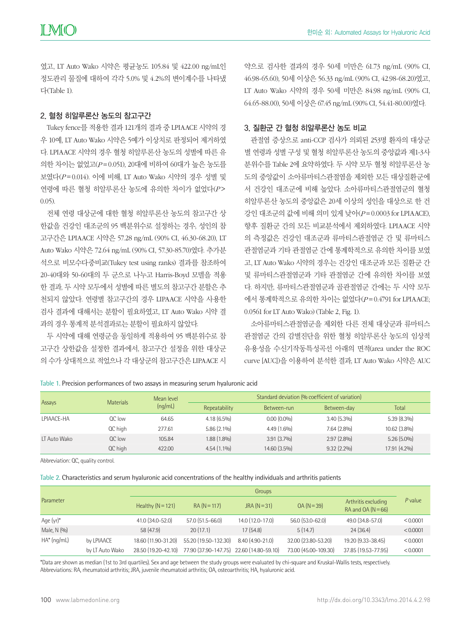였고, LT Auto Wako 시약은 평균농도 105.84 및 422.00 ng/mL인 정도관리 물질에 대하여 각각 5.0% 및 4.2%의 변이계수를 나타냈 다(Table 1).

#### 2. 혈청 히알루론산 농도의 참고구간

Tukey fence를 적용한 결과 121개의 결과 중 LPIAACE 시약의 경 우 10예, LT Auto Wako 시약은 5예가 이상치로 판정되어 제거하였 다. LPIAACE 시약의 경우 혈청 히알루론산 농도의 성별에 따른 유 의한 차이는 없었고(*P* =0.051), 20대에 비하여 60대가 높은 농도를 보였다(*P* =0.014). 이에 비해, LT Auto Wako 시약의 경우 성별 및 연령에 따른 혈청 히알루론산 농도에 유의한 차이가 없었다(*P*> 0.05).

전체 연령 대상군에 대한 혈청 히알루론산 농도의 참고구간 상 한값을 건강인 대조군의 95 백분위수로 설정하는 경우, 성인의 참 고구간은 LPIAACE 시약은 57.28 ng/mL (90% CI, 46.30-68.20), LT Auto Wako 시약은 72.64 ng/mL (90% CI, 57.30-85.70)였다. 추가분 석으로 비모수다중비교(Tukey test using ranks) 결과를 참조하여 20-40대와 50-60대의 두 군으로 나누고 Harris-Boyd 모델을 적용 한 결과, 두 시약 모두에서 성별에 따른 별도의 참고구간 분할은 추 천되지 않았다. 연령별 참고구간의 경우 LIPAACE 시약을 사용한 검사 결과에 대해서는 분할이 필요하였고, LT Auto Wako 시약 결 과의 경우 통계적 분석결과로는 분할이 필요하지 않았다.

두 시약에 대해 연령군을 동일하게 적용하여 95 백분위수로 참 고구간 상한값을 설정한 결과에서, 참고구간 설정을 위한 대상군 의 수가 상대적으로 적었으나 각 대상군의 참고구간은 LIPAACE 시

약으로 검사한 결과의 경우 50세 미만은 61.73 ng/mL (90% CI, 46.98-65.60), 50세 이상은 56.33 ng/mL (90% CI, 42.98-68.20)였고, LT Auto Wako 시약의 경우 50세 미만은 84.98 ng/mL (90% CI, 64.65-88.00), 50세 이상은 67.45 ng/mL (90% CI, 54.41-80.00)였다.

#### 3. 질환군 간 혈청 히알루론산 농도 비교

관절염 증상으로 anti-CCP 검사가 의뢰된 253명 환자의 대상군 별 연령과 성별 구성 및 혈청 히알루론산 농도의 중앙값과 제1-3사 분위수를 Table 2에 요약하였다. 두 시약 모두 혈청 히알루론산 농 도의 중앙값이 소아류마티스관절염을 제외한 모든 대상질환군에 서 건강인 대조군에 비해 높았다. 소아류마티스관절염군의 혈청 히알루론산 농도의 중앙값은 20세 이상의 성인을 대상으로 한 건 강인 대조군의 값에 비해 의미 있게 낮아(*P* =0.0003 for LPIAACE), 향후 질환군 간의 모든 비교분석에서 제외하였다. LPIAACE 시약 의 측정값은 건강인 대조군과 류마티스관절염군 간 및 류마티스 관절염군과 기타 관절염군 간에 통계학적으로 유의한 차이를 보였 고, LT Auto Wako 시약의 경우는 건강인 대조군과 모든 질환군 간 및 류마티스관절염군과 기타 관절염군 간에 유의한 차이를 보였 다. 하지만, 류마티스관절염군과 골관절염군 간에는 두 시약 모두 에서 통계학적으로 유의한 차이는 없었다(*P* =0.4791 for LPIAACE; 0.0561 for LT Auto Wako) (Table 2, Fig. 1).

소아류마티스관절염군을 제외한 다른 전체 대상군과 류마티스 관절염군 간의 감별진단을 위한 혈청 히알루론산 농도의 임상적 유용성을 수신기작동특성곡선 아래의 면적(area under the ROC curve [AUC])을 이용하여 분석한 결과, LT Auto Wako 시약은 AUC

| Assays              | <b>Materials</b> | Mean level<br>(nq/mL) | Standard deviation (% coefficient of variation) |               |               |                |  |
|---------------------|------------------|-----------------------|-------------------------------------------------|---------------|---------------|----------------|--|
|                     |                  |                       | Repeatability                                   | Between-run   | Between-day   | Total          |  |
| LPIAACE-HA          | QC low           | 64.65                 | $4.18(6.5\%)$                                   | $0.00(0.0\%)$ | $3.40(5.3\%)$ | $5.39(8.3\%)$  |  |
|                     | QC high          | 277.61                | $5.86(2.1\%)$                                   | $4.49(1.6\%)$ | $7.64(2.8\%)$ | $10.62(3.8\%)$ |  |
| <b>IT Auto Wako</b> | $OC$ low         | 105.84                | $1.88(1.8\%)$                                   | $3.91(3.7\%)$ | $2.97(2.8\%)$ | $5.26(5.0\%)$  |  |
|                     | QC high          | 422.00                | $4.54(1.1\%)$                                   | 14.60 (3.5%)  | $9.32(2.2\%)$ | 17.91 (4.2%)   |  |

Table 1. Precision performances of two assays in measuring serum hyaluronic acid

Abbreviation: QC, quality control.

Table 2. Characteristics and serum hyaluronic acid concentrations of the healthy individuals and arthritis patients

| Parameter      |                 | Groups              |                                          |                   |                      |                                           |           |
|----------------|-----------------|---------------------|------------------------------------------|-------------------|----------------------|-------------------------------------------|-----------|
|                |                 | Healthy $(N = 121)$ | $RA (N = 117)$                           | $JRA(N=31)$       | $OA (N = 39)$        | Arthritis excluding<br>RA and $OA (N=66)$ | $P$ value |
| Age $(yr)^*$   |                 | 41.0 (34.0-52.0)    | 57.0 (51.5-66.0)                         | 14.0 (12.0-17.0)  | 56.0 (53.0-62.0)     | 49.0 (34.8-57.0)                          | < 0.0001  |
| Male, N (%)    |                 | 58 (47.9)           | 20(17.1)                                 | 17(54.8)          | 5(14.7)              | 24(36.4)                                  | < 0.0001  |
| $HA^*$ (ng/mL) | by LPIAACE      | 18.60 (11.90-31.20) | 55.20 (19.50-132.30)                     | $8.40(4.90-21.0)$ | 32.00 (23.80-53.20)  | 19.20 (9.33-38.45)                        | < 0.0001  |
|                | by LT Auto Wako | 28.50 (19.20-42.10) | 77.90 (37.90-147.75) 22.60 (14.80-59.10) |                   | 73.00 (45.00-109.30) | 37.85 (19.53-77.95)                       | < 0.0001  |

\*Data are shown as median (1st to 3rd quartiles). Sex and age between the study groups were evaluated by chi-square and Kruskal-Wallis tests, respectively. Abbreviations: RA, rheumatoid arthritis; JRA, juvenile rheumatoid arthritis; OA, osteoarthritis; HA, hyaluronic acid.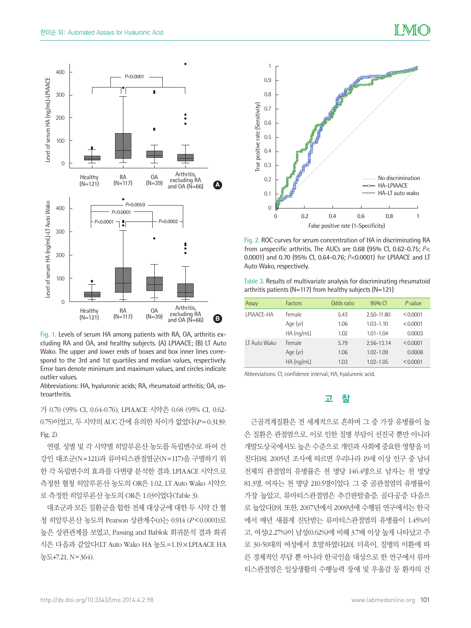

Fig. 1. Levels of serum HA among patients with RA, OA, arthritis excluding RA and OA, and healthy subjects. (A) LPIAACE; (B) LT Auto Wako. The upper and lower ends of boxes and box inner lines correspond to the 3rd and 1st quartiles and median values, respectively. Error bars denote minimum and maximum values, and circles indicate outlier values.

Abbreviations: HA, hyaluronic acids; RA, rheumatoid arthritis; OA, osteoarthritis.

가 0.70 (95% CI, 0.64-0.76), LPIAACE 시약은 0.68 (95% CI, 0.62- 0.75)이었고, 두 시약의 AUC 간에 유의한 차이가 없었다(*P* =0.3139; Fig. 2).

연령, 성별 및 각 시약별 히알루론산 농도를 독립변수로 하여 건 강인 대조군(N=121)과 류마티스관절염군(N=117)을 구별하기 위 한 각 독립변수의 효과를 다변량 분석한 결과, LPIAACE 시약으로 측정한 혈청 히알루론산 농도의 OR은 1.02, LT Auto Wako 시약으 로 측정한 히알루론산 농도의 OR은 1.03이었다(Table 3).

대조군과 모든 질환군을 합한 전체 대상군에 대한 두 시약 간 혈 청 히알루론산 농도의 Pearson 상관계수(r)는 0.914 (*P*<0.0001)로 높은 상관관계를 보였고, Passing and Bablok 회귀분석 결과 회귀 식은 다음과 같았다(LT Auto Wako HA 농도=1.19×LPIAACE HA 농도+7.21, N=364).



Fig. 2. ROC curves for serum concentration of HA in discriminating RA from unspecific arthritis. The AUCs are 0.68 (95% CI, 0.62-0.75; *P*< 0.0001) and 0.70 (95% CI, 0.64-0.76; *P*<0.0001) for LPIAACE and LT Auto Wako, respectively.

Table 3. Results of multivariate analysis for discriminating rheumatoid arthritis patients (N=117) from healthy subjects (N=121)

| Assay               | <b>Factors</b> | Odds ratio | 95% CI        | P value  |
|---------------------|----------------|------------|---------------|----------|
| <b>LPIAACE-HA</b>   | Female         | 5.43       | 2.50-11.80    | < 0.0001 |
|                     | Age (yr)       | 1.06       | $1.03 - 1.10$ | < 0.0001 |
|                     | $HA$ (ng/mL)   | 1.02       | $1.01 - 1.04$ | 0.0003   |
| <b>IT Auto Wako</b> | Female         | 5.79       | 2.56-13.14    | < 0.0001 |
|                     | Age (yr)       | 1.06       | $102 - 109$   | 0.0008   |
|                     | $HA$ (ng/mL)   | 1.03       | $1.02 - 1.05$ | < 0.0001 |

Abbreviations: CI, confidence interval; HA, hyaluronic acid.

# 고 찰

근골격계질환은 전 세계적으로 흔하며 그 중 가장 유병률이 높 은 질환은 관절염으로, 이로 인한 질병 부담이 선진국 뿐만 아니라 개발도상국에서도 높은 수준으로 개인과 사회에 중요한 영향을 미 친다[18]. 2005년 조사에 따르면 우리나라 19세 이상 인구 중 남녀 전체의 관절염의 유병률은 천 명당 146.4명으로 남자는 천 명당 81.3명, 여자는 천 명당 210.5명이었다. 그 중 골관절염의 유병률이 가장 높았고, 류마티스관절염은 추간판탈출증, 골다공증 다음으 로 높았다[19]. 또한, 2007년에서 2009년에 수행된 연구에서는 한국 에서 매년 새롭게 진단받는 류마티스관절염의 유병률이 1.45%이 고, 여성(2.27%)이 남성(0.62%)에 비해 3.7배 이상 높게 나타났고 주 로 30-50대의 여성에서 호발하였다[20]. 더욱이, 질병의 이환에 따 른 경제적인 부담 뿐 아니라 한국인을 대상으로 한 연구에서 류마 티스관절염은 일상생활의 수행능력 장애 및 우울감 등 환자의 건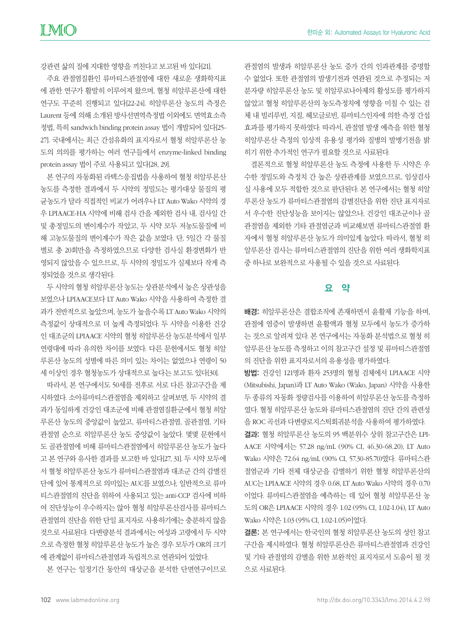한미순 외: Automated Assays for Hyaluronic Acid

강관련 삶의 질에 지대한 영향을 끼친다고 보고된 바 있다[21].

주요 관절염질환인 류마티스관절염에 대한 새로운 생화학지표 에 관한 연구가 활발히 이루어져 왔으며, 혈청 히알루론산에 대한 연구도 꾸준히 진행되고 있다[22-24]. 히알루론산 농도의 측정은 Laurent 등에 의해 소개된 방사선면역측정법 이외에도 면역효소측 정법, 특히 sandwich binding protein assay 법이 개발되어 있다[25- 27]. 국내에서는 최근 간섬유화의 표지자로서 혈청 히알루론산 농 도의 의의를 평가하는 여러 연구들에서 enzyme-linked binding protein assay 법이 주로 사용되고 있다[28, 29].

본 연구의 자동화된 라텍스응집법을 사용하여 혈청 히알루론산 농도를 측정한 결과에서 두 시약의 정밀도는 평가대상 물질의 평 균농도가 달라 직접적인 비교가 어려우나 LT Auto Wako 시약의 경 우 LPIAACE-HA 시약에 비해 검사 간을 제외한 검사 내, 검사일 간 및 총정밀도의 변이계수가 작았고, 두 시약 모두 저농도물질에 비 해 고농도물질의 변이계수가 작은 값을 보였다. 단, 5일간 각 물질 별로 총 20회만을 측정하였으므로 다양한 검사실 환경변화가 반 영되지 않았을 수 있으므로, 두 시약의 정밀도가 실제보다 작게 측 정되었을 것으로 생각된다.

두 시약의 혈청 히알루론산 농도는 상관분석에서 높은 상관성을 보였으나 LPIAACE보다 LT Auto Wako 시약을 사용하여 측정한 결 과가 전반적으로 높았으며, 농도가 높을수록 LT Auto Wako 시약의 측정값이 상대적으로 더 높게 측정되었다. 두 시약을 이용한 건강 인 대조군의 LPIAACE 시약의 혈청 히알루론산 농도분석에서 일부 연령대에 따라 유의한 차이를 보였다. 다른 문헌에서도 혈청 히알 루론산 농도의 성별에 따른 의미 있는 차이는 없었으나 연령이 50 세 이상인 경우 혈청농도가 상대적으로 높다는 보고도 있다[30].

따라서, 본 연구에서도 50세를 전후로 서로 다른 참고구간을 제 시하였다. 소아류마티스관절염을 제외하고 살펴보면, 두 시약의 결 과가 동일하게 건강인 대조군에 비해 관절염질환군에서 혈청 히알 루론산 농도의 중앙값이 높았고, 류마티스관절염, 골관절염, 기타 관절염 순으로 히알루론산 농도 중앙값이 높았다. 몇몇 문헌에서 도 골관절염에 비해 류마티스관절염에서 히알루론산 농도가 높다 고 본 연구와 유사한 결과를 보고한 바 있다[27, 31]. 두 시약 모두에 서 혈청 히알루론산 농도가 류마티스관절염과 대조군 간의 감별진 단에 있어 통계적으로 의미있는 AUC를 보였으나, 일반적으로 류마 티스관절염의 진단을 위하여 사용되고 있는 anti-CCP 검사에 비하 여 진단성능이 우수하지는 않아 혈청 히알루론산검사를 류마티스 관절염의 진단을 위한 단일 표지자로 사용하기에는 충분하지 않을 것으로 사료된다. 다변량분석 결과에서는 여성과 고령에서 두 시약 으로 측정한 혈청 히알루론산 농도가 높은 경우 모두가 OR의 크기 에 관계없이 류마티스관절염과 독립적으로 연관되어 있었다.

본 연구는 일정기간 동안의 대상군을 분석한 단면연구이므로

관절염의 발생과 히알루론산 농도 증가 간의 인과관계를 증명할 수 없었다. 또한 관절염의 발생기전과 연관된 것으로 추정되는 저 분자량 히알루론산 농도 및 히알루로나아제의 활성도를 평가하지 않았고 혈청 히알루론산의 농도측정치에 영향을 미칠 수 있는 검 체 내 빌리루빈, 지질, 헤모글로빈, 류마티스인자에 의한 측정 간섭 효과를 평가하지 못하였다. 따라서, 관절염 발생 예측을 위한 혈청 히알루론산 측정의 임상적 유용성 평가와 질병의 발병기전을 밝 히기 위한 추가적인 연구가 필요할 것으로 사료된다.

결론적으로 혈청 히알루론산 농도 측정에 사용한 두 시약은 우 수한 정밀도와 측정치 간 높은 상관관계를 보였으므로, 임상검사 실 사용에 모두 적합한 것으로 판단된다. 본 연구에서는 혈청 히알 루론산 농도가 류마티스관절염의 감별진단을 위한 진단 표지자로 서 우수한 진단성능을 보이지는 않았으나, 건강인 대조군이나 골 관절염을 제외한 기타 관절염군과 비교해보면 류마티스관절염 환 자에서 혈청 히알루론산 농도가 의미있게 높았다. 따라서, 혈청 히 알루론산 검사는 류마티스관절염의 진단을 위한 여러 생화학지표 중 하나로 보완적으로 사용될 수 있을 것으로 사료된다.

### 요 약

배경: 히알루론산은 결합조직에 존재하면서 윤활제 기능을 하며, 관절에 염증이 발생하면 윤활액과 혈청 모두에서 농도가 증가하 는 것으로 알려져 있다. 본 연구에서는 자동화 분석법으로 혈청 히 알루론산 농도를 측정하고 이의 참고구간 설정 및 류마티스관절염 의 진단을 위한 표지자로서의 유용성을 평가하였다.

방법: 건강인 121명과 환자 253명의 혈청 검체에서 LPIAACE 시약 (Mitsubishi, Japan)과 LT Auto Wako (Wako, Japan) 시약을 사용한 두 종류의 자동화 정량검사를 이용하여 히알루론산 농도를 측정하 였다. 혈청 히알루론산 농도와 류마티스관절염의 진단 간의 관련성 을 ROC 곡선과 다변량로지스틱회귀분석을 사용하여 평가하였다.

결과: 혈청 히알루론산 농도의 95 백분위수 상위 참고구간은 LPI-AACE 시약에서는 57.28 ng/mL (90% CI, 46.30-68.20), LT Auto Wako 시약은 72.64 ng/mL (90% CI, 57.30-85.70)였다. 류마티스관 절염군과 기타 전체 대상군을 감별하기 위한 혈청 히알루론산의 AUC는 LPIAACE 시약의 경우 0.68, LT Auto Wako 시약의 경우 0.70 이었다. 류마티스관절염을 예측하는 데 있어 혈청 히알루론산 농 도의 OR은 LPIAACE 시약의 경우 1.02 (95% CI, 1.02-1.04), LT Auto Wako 시약은 1.03 (95% CI, 1.02-1.05)이었다.

결론: 본 연구에서는 한국인의 혈청 히알루론산 농도의 성인 참고 구간을 제시하였다. 혈청 히알루론산은 류마티스관절염과 건강인 및 기타 관절염의 감별을 위한 보완적인 표지자로서 도움이 될 것 으로 사료된다.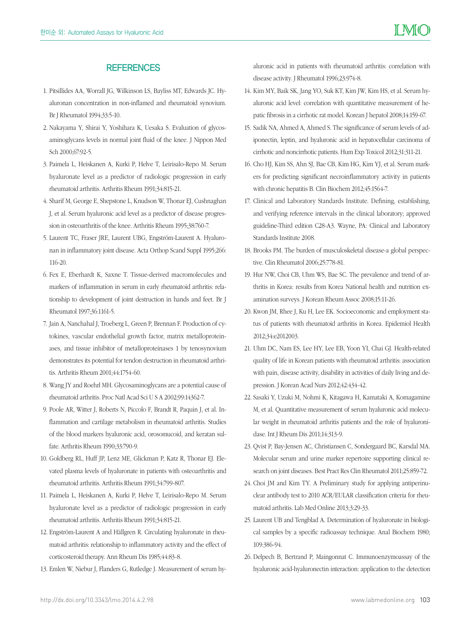#### **REFERENCES**

- 1. Pitsillides AA, Worrall JG, Wilkinson LS, Bayliss MT, Edwards JC. Hyaluronan concentration in non-inflamed and rheumatoid synovium. Br J Rheumatol 1994;33:5-10.
- 2. Nakayama Y, Shirai Y, Yoshihara K, Uesaka S. Evaluation of glycosaminoglycans levels in normal joint fluid of the knee. J Nippon Med Sch 2000;67:92-5.
- 3. Paimela L, Heiskanen A, Kurki P, Helve T, Leirisalo-Repo M. Serum hyaluronate level as a predictor of radiologic progression in early rheumatoid arthritis. Arthritis Rheum 1991;34:815-21.
- 4. Sharif M, George E, Shepstone L, Knudson W, Thonar EJ, Cushnaghan J, et al. Serum hyaluronic acid level as a predictor of disease progression in osteoarthritis of the knee. Arthritis Rheum 1995;38:760-7.
- 5. Laurent TC, Fraser JRE, Laurent UBG, Engström-Laurent A. Hyaluronan in inflammatory joint disease. Acta Orthop Scand Suppl 1995;266: 116-20.
- 6. Fex E, Eberhardt K, Saxne T. Tissue-derived macromolecules and markers of inflammation in serum in early rheumatoid arthritis: relationship to development of joint destruction in hands and feet. Br J Rheumatol 1997;36:1161-5.
- 7. Jain A, Nanchahal J, Troeberg L, Green P, Brennan F. Production of cytokines, vascular endothelial growth factor, matrix metalloproteinases, and tissue inhibitor of metalloproteinases 1 by tenosynovium demonstrates its potential for tendon destruction in rheumatoid arthritis. Arthritis Rheum 2001;44:1754-60.
- 8. Wang JY and Roehrl MH. Glycosaminoglycans are a potential cause of rheumatoid arthritis. Proc Natl Acad Sci U S A 2002;99:14362-7.
- 9. Poole AR, Witter J, Roberts N, Piccolo F, Brandt R, Paquin J, et al. Inflammation and cartilage metabolism in rheumatoid arthritis. Studies of the blood markers hyaluronic acid, orosomucoid, and keratan sulfate. Arthritis Rheum 1990;33:790-9.
- 10. Goldberg RL, Huff JP, Lenz ME, Glickman P, Katz R, Thonar EJ. Elevated plasma levels of hyaluronate in patients with osteoarthritis and rheumatoid arthritis. Arthritis Rheum 1991;34:799-807.
- 11. Paimela L, Heiskanen A, Kurki P, Helve T, Leirisalo-Repo M. Serum hyaluronate level as a predictor of radiologic progression in early rheumatoid arthritis. Arthritis Rheum 1991;34:815-21.
- 12. Engström-Laurent A and Hällgren R. Circulating hyaluronate in rheumatoid arthritis: relationship to inflammatory activity and the effect of corticosteroid therapy. Ann Rheum Dis 1985;44:83-8.
- 13. Emlen W, Niebur J, Flanders G, Rutledge J. Measurement of serum hy-

aluronic acid in patients with rheumatoid arthritis: correlation with disease activity. J Rheumatol 1996;23:974-8.

- 14. Kim MY, Baik SK, Jang YO, Suk KT, Kim JW, Kim HS, et al. Serum hyaluronic acid level: correlation with quantitative measurement of hepatic fibrosis in a cirrhotic rat model. Korean J hepatol 2008;14:159-67.
- 15. Sadik NA, Ahmed A, Ahmed S. The significance of serum levels of adiponectin, leptin, and hyaluronic acid in hepatocellular carcinoma of cirrhotic and noncirrhotic patients. Hum Exp Toxicol 2012;31:311-21.
- 16. Cho HJ, Kim SS, Ahn SJ, Bae CB, Kim HG, Kim YJ, et al. Serum markers for predicting significant necroinflammatory activity in patients with chronic hepatitis B. Clin Biochem 2012;45:1564-7.
- 17. Clinical and Laboratory Standards Institute. Defining, establishing, and verifying reference intervals in the clinical laboratory; approved guideline-Third edition C28-A3. Wayne, PA: Clinical and Laboratory Standards Institute 2008.
- 18. Brooks PM. The burden of musculoskeletal disease-a global perspective. Clin Rheumatol 2006;25:778-81.
- 19. Hur NW, Choi CB, Uhm WS, Bae SC. The prevalence and trend of arthritis in Korea: results from Korea National health and nutrition examination surveys. J Korean Rheum Assoc 2008;15:11-26.
- 20. Kwon JM, Rhee J, Ku H, Lee EK. Socioeconomic and employment status of patients with rheumatoid arthritis in Korea. Epidemiol Health 2012;34:e2012003.
- 21. Uhm DC, Nam ES, Lee HY, Lee EB, Yoon YI, Chai GJ. Health-related quality of life in Korean patients with rheumatoid arthritis: association with pain, disease activity, disability in activities of daily living and depression. J Korean Acad Nurs 2012;42:434-42.
- 22. Sasaki Y, Uzuki M, Nohmi K, Kitagawa H, Kamataki A, Komagamine M, et al. Quantitative measurement of serum hyaluronic acid molecular weight in rheumatoid arthritis patients and the role of hyaluronidase. Int J Rheum Dis 2011;14:313-9.
- 23. Qvist P, Bay-Jensen AC, Christiansen C, Sondergaard BC, Karsdal MA. Molecular serum and urine marker repertoire supporting clinical research on joint diseases. Best Pract Res Clin Rheumatol 2011;25:859-72.
- 24. Choi JM and Kim TY. A Preliminary study for applying antiperinuclear antibody test to 2010 ACR/EULAR classification criteria for rheumatoid arthritis. Lab Med Online 2013;3:29-33.
- 25. Laurent UB and Tengblad A. Determination of hyaluronate in biological samples by a specific radioassay technique. Anal Biochem 1980; 109:386-94.
- 26. Delpech B, Bertrand P, Maingonnat C. Immunoenzymoassay of the hyaluronic acid-hyaluronectin interaction: application to the detection